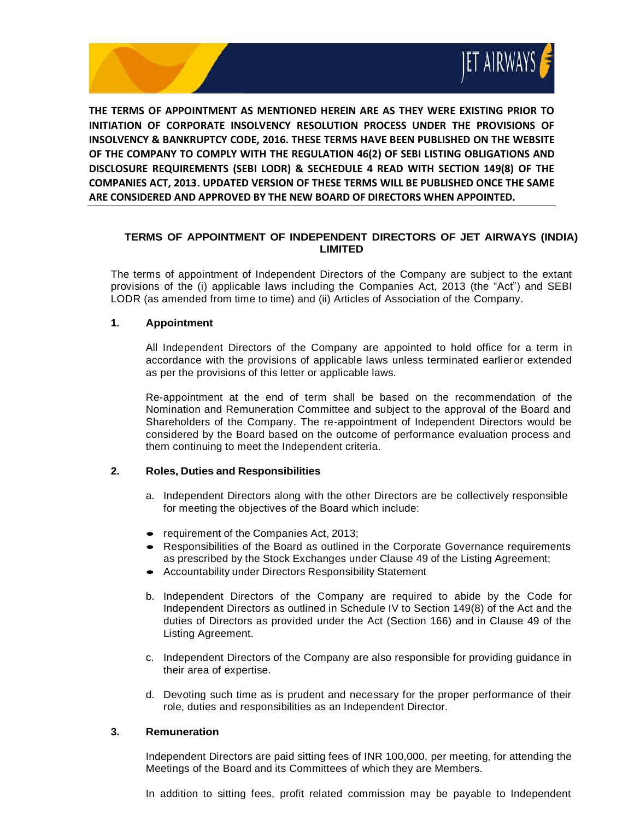

**THE TERMS OF APPOINTMENT AS MENTIONED HEREIN ARE AS THEY WERE EXISTING PRIOR TO INITIATION OF CORPORATE INSOLVENCY RESOLUTION PROCESS UNDER THE PROVISIONS OF INSOLVENCY & BANKRUPTCY CODE, 2016. THESE TERMS HAVE BEEN PUBLISHED ON THE WEBSITE OF THE COMPANY TO COMPLY WITH THE REGULATION 46(2) OF SEBI LISTING OBLIGATIONS AND DISCLOSURE REQUIREMENTS (SEBI LODR) & SECHEDULE 4 READ WITH SECTION 149(8) OF THE COMPANIES ACT, 2013. UPDATED VERSION OF THESE TERMS WILL BE PUBLISHED ONCE THE SAME ARE CONSIDERED AND APPROVED BY THE NEW BOARD OF DIRECTORS WHEN APPOINTED.**

# **TERMS OF APPOINTMENT OF INDEPENDENT DIRECTORS OF JET AIRWAYS (INDIA) LIMITED**

The terms of appointment of Independent Directors of the Company are subject to the extant provisions of the (i) applicable laws including the Companies Act, 2013 (the "Act") and SEBI LODR (as amended from time to time) and (ii) Articles of Association of the Company.

## **1. Appointment**

All Independent Directors of the Company are appointed to hold office for a term in accordance with the provisions of applicable laws unless terminated earlieror extended as per the provisions of this letter or applicable laws.

Re-appointment at the end of term shall be based on the recommendation of the Nomination and Remuneration Committee and subject to the approval of the Board and Shareholders of the Company. The re-appointment of Independent Directors would be considered by the Board based on the outcome of performance evaluation process and them continuing to meet the Independent criteria.

## **2. Roles, Duties and Responsibilities**

- a. Independent Directors along with the other Directors are be collectively responsible for meeting the objectives of the Board which include:
- requirement of the Companies Act, 2013;
- Responsibilities of the Board as outlined in the Corporate Governance requirements as prescribed by the Stock Exchanges under Clause 49 of the Listing Agreement;
- Accountability under Directors Responsibility Statement
- b. Independent Directors of the Company are required to abide by the Code for Independent Directors as outlined in Schedule IV to Section 149(8) of the Act and the duties of Directors as provided under the Act (Section 166) and in Clause 49 of the Listing Agreement.
- c. Independent Directors of the Company are also responsible for providing guidance in their area of expertise.
- d. Devoting such time as is prudent and necessary for the proper performance of their role, duties and responsibilities as an Independent Director.

### **3. Remuneration**

Independent Directors are paid sitting fees of INR 100,000, per meeting, for attending the Meetings of the Board and its Committees of which they are Members.

In addition to sitting fees, profit related commission may be payable to Independent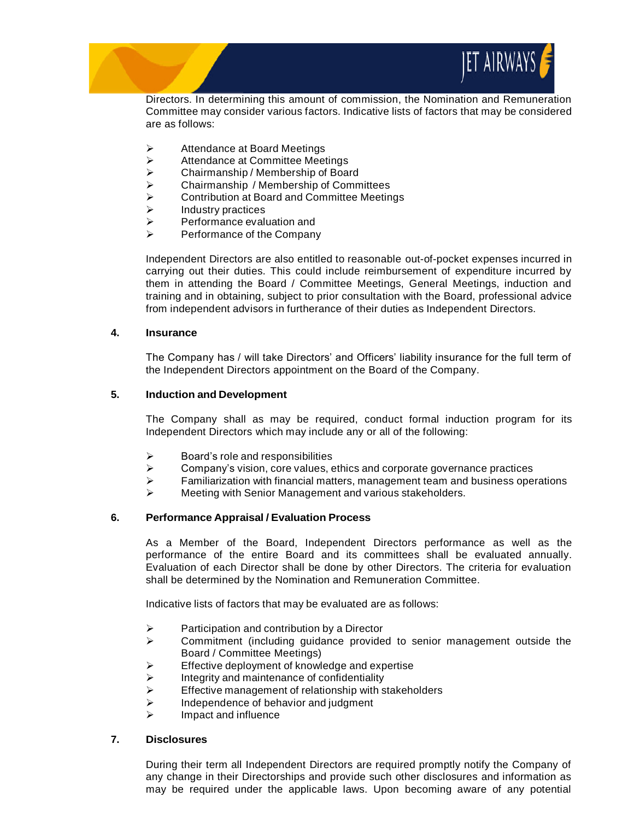

Directors. In determining this amount of commission, the Nomination and Remuneration Committee may consider various factors. Indicative lists of factors that may be considered are as follows:

- ➢ Attendance at Board Meetings
- $\geq$  Attendance at Committee Meetings<br>  $\geq$  Chairmanship / Membership of Boa
- ➢ Chairmanship / Membership of Board
- **►** Chairmanship / Membership of Committees<br>► Contribution at Board and Committee Meetin
- $\geq$  Contribution at Board and Committee Meetings<br>  $\geq$  Industry practices
- **▶** Industry practices<br>▶ Performance evalu
- $\triangleright$  Performance evaluation and<br> $\triangleright$  Performance of the Company
- ➢ Performance of the Company

Independent Directors are also entitled to reasonable out-of-pocket expenses incurred in carrying out their duties. This could include reimbursement of expenditure incurred by them in attending the Board / Committee Meetings, General Meetings, induction and training and in obtaining, subject to prior consultation with the Board, professional advice from independent advisors in furtherance of their duties as Independent Directors.

### **4. Insurance**

The Company has / will take Directors' and Officers' liability insurance for the full term of the Independent Directors appointment on the Board of the Company.

#### **5. Induction and Development**

The Company shall as may be required, conduct formal induction program for its Independent Directors which may include any or all of the following:

- $\triangleright$  Board's role and responsibilities
- $\triangleright$  Company's vision, core values, ethics and corporate governance practices
- $\triangleright$  Familiarization with financial matters, management team and business operations
- ➢ Meeting with Senior Management and various stakeholders.

### **6. Performance Appraisal / Evaluation Process**

As a Member of the Board, Independent Directors performance as well as the performance of the entire Board and its committees shall be evaluated annually. Evaluation of each Director shall be done by other Directors. The criteria for evaluation shall be determined by the Nomination and Remuneration Committee.

Indicative lists of factors that may be evaluated are as follows:

- ➢ Participation and contribution by a Director
- $\triangleright$  Commitment (including guidance provided to senior management outside the Board / Committee Meetings)
- $\triangleright$  Effective deployment of knowledge and expertise
- $\triangleright$  Integrity and maintenance of confidentiality
- ➢ Effective management of relationship with stakeholders
- $\triangleright$  Independence of behavior and judgment
- $\triangleright$  Impact and influence

#### **7. Disclosures**

During their term all Independent Directors are required promptly notify the Company of any change in their Directorships and provide such other disclosures and information as may be required under the applicable laws. Upon becoming aware of any potential